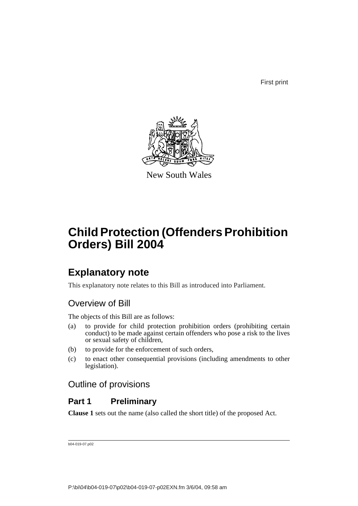First print



New South Wales

# **Child Protection (Offenders Prohibition Orders) Bill 2004**

# **Explanatory note**

This explanatory note relates to this Bill as introduced into Parliament.

## Overview of Bill

The objects of this Bill are as follows:

- (a) to provide for child protection prohibition orders (prohibiting certain conduct) to be made against certain offenders who pose a risk to the lives or sexual safety of children,
- (b) to provide for the enforcement of such orders,
- (c) to enact other consequential provisions (including amendments to other legislation).

## Outline of provisions

## **Part 1 Preliminary**

**Clause 1** sets out the name (also called the short title) of the proposed Act.

b04-019-07.p02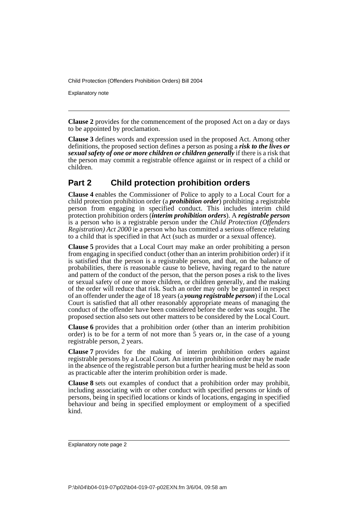Explanatory note

**Clause 2** provides for the commencement of the proposed Act on a day or days to be appointed by proclamation.

**Clause 3** defines words and expression used in the proposed Act. Among other definitions, the proposed section defines a person as posing a *risk to the lives or sexual safety of one or more children or children generally* if there is a risk that the person may commit a registrable offence against or in respect of a child or children.

## **Part 2 Child protection prohibition orders**

**Clause 4** enables the Commissioner of Police to apply to a Local Court for a child protection prohibition order (a *prohibition order*) prohibiting a registrable person from engaging in specified conduct. This includes interim child protection prohibition orders (*interim prohibition orders*). A *registrable person* is a person who is a registrable person under the *Child Protection (Offenders Registration) Act 2000* ie a person who has committed a serious offence relating to a child that is specified in that Act (such as murder or a sexual offence).

**Clause 5** provides that a Local Court may make an order prohibiting a person from engaging in specified conduct (other than an interim prohibition order) if it is satisfied that the person is a registrable person, and that, on the balance of probabilities, there is reasonable cause to believe, having regard to the nature and pattern of the conduct of the person, that the person poses a risk to the lives or sexual safety of one or more children, or children generally, and the making of the order will reduce that risk. Such an order may only be granted in respect of an offender under the age of 18 years (a *young registrable person*) if the Local Court is satisfied that all other reasonably appropriate means of managing the conduct of the offender have been considered before the order was sought. The proposed section also sets out other matters to be considered by the Local Court.

**Clause 6** provides that a prohibition order (other than an interim prohibition order) is to be for a term of not more than 5 years or, in the case of a young registrable person, 2 years.

**Clause 7** provides for the making of interim prohibition orders against registrable persons by a Local Court. An interim prohibition order may be made in the absence of the registrable person but a further hearing must be held as soon as practicable after the interim prohibition order is made.

**Clause 8** sets out examples of conduct that a prohibition order may prohibit, including associating with or other conduct with specified persons or kinds of persons, being in specified locations or kinds of locations, engaging in specified behaviour and being in specified employment or employment of a specified kind.

Explanatory note page 2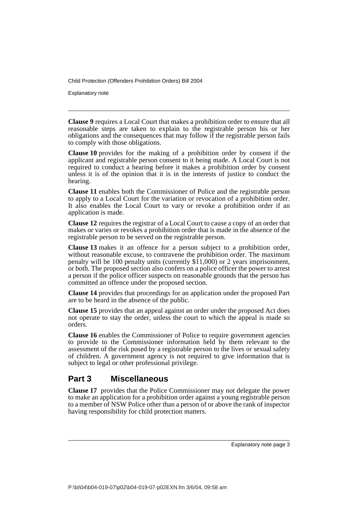Explanatory note

**Clause 9** requires a Local Court that makes a prohibition order to ensure that all reasonable steps are taken to explain to the registrable person his or her obligations and the consequences that may follow if the registrable person fails to comply with those obligations.

**Clause 10** provides for the making of a prohibition order by consent if the applicant and registrable person consent to it being made. A Local Court is not required to conduct a hearing before it makes a prohibition order by consent unless it is of the opinion that it is in the interests of justice to conduct the hearing.

**Clause 11** enables both the Commissioner of Police and the registrable person to apply to a Local Court for the variation or revocation of a prohibition order. It also enables the Local Court to vary or revoke a prohibition order if an application is made.

**Clause 12** requires the registrar of a Local Court to cause a copy of an order that makes or varies or revokes a prohibition order that is made in the absence of the registrable person to be served on the registrable person.

**Clause 13** makes it an offence for a person subject to a prohibition order, without reasonable excuse, to contravene the prohibition order. The maximum penalty will be 100 penalty units (currently \$11,000) or 2 years imprisonment, or both. The proposed section also confers on a police officer the power to arrest a person if the police officer suspects on reasonable grounds that the person has committed an offence under the proposed section.

**Clause 14** provides that proceedings for an application under the proposed Part are to be heard in the absence of the public.

**Clause 15** provides that an appeal against an order under the proposed Act does not operate to stay the order, unless the court to which the appeal is made so orders.

**Clause 16** enables the Commissioner of Police to require government agencies to provide to the Commissioner information held by them relevant to the assessment of the risk posed by a registrable person to the lives or sexual safety of children. A government agency is not required to give information that is subject to legal or other professional privilege.

### **Part 3 Miscellaneous**

**Clause 17** provides that the Police Commissioner may not delegate the power to make an application for a prohibition order against a young registrable person to a member of NSW Police other than a person of or above the rank of inspector having responsibility for child protection matters.

Explanatory note page 3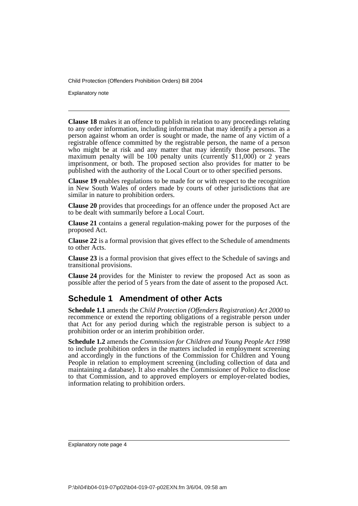Explanatory note

**Clause 18** makes it an offence to publish in relation to any proceedings relating to any order information, including information that may identify a person as a person against whom an order is sought or made, the name of any victim of a registrable offence committed by the registrable person, the name of a person who might be at risk and any matter that may identify those persons. The maximum penalty will be 100 penalty units (currently \$11,000) or 2 years imprisonment, or both. The proposed section also provides for matter to be published with the authority of the Local Court or to other specified persons.

**Clause 19** enables regulations to be made for or with respect to the recognition in New South Wales of orders made by courts of other jurisdictions that are similar in nature to prohibition orders.

**Clause 20** provides that proceedings for an offence under the proposed Act are to be dealt with summarily before a Local Court.

**Clause 21** contains a general regulation-making power for the purposes of the proposed Act.

**Clause 22** is a formal provision that gives effect to the Schedule of amendments to other Acts.

**Clause 23** is a formal provision that gives effect to the Schedule of savings and transitional provisions.

**Clause 24** provides for the Minister to review the proposed Act as soon as possible after the period of 5 years from the date of assent to the proposed Act.

## **Schedule 1 Amendment of other Acts**

**Schedule 1.1** amends the *Child Protection (Offenders Registration) Act 2000* to recommence or extend the reporting obligations of a registrable person under that Act for any period during which the registrable person is subject to a prohibition order or an interim prohibition order.

**Schedule 1.2** amends the *Commission for Children and Young People Act 1998* to include prohibition orders in the matters included in employment screening and accordingly in the functions of the Commission for Children and Young People in relation to employment screening (including collection of data and maintaining a database). It also enables the Commissioner of Police to disclose to that Commission, and to approved employers or employer-related bodies, information relating to prohibition orders.

Explanatory note page 4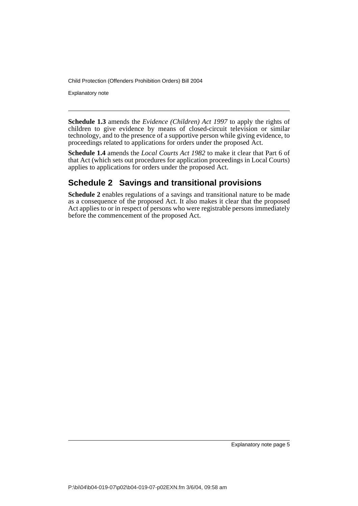Explanatory note

**Schedule 1.3** amends the *Evidence (Children) Act 1997* to apply the rights of children to give evidence by means of closed-circuit television or similar technology, and to the presence of a supportive person while giving evidence, to proceedings related to applications for orders under the proposed Act.

**Schedule 1.4** amends the *Local Courts Act 1982* to make it clear that Part 6 of that Act (which sets out procedures for application proceedings in Local Courts) applies to applications for orders under the proposed Act.

## **Schedule 2 Savings and transitional provisions**

**Schedule 2** enables regulations of a savings and transitional nature to be made as a consequence of the proposed Act. It also makes it clear that the proposed Act applies to or in respect of persons who were registrable persons immediately before the commencement of the proposed Act.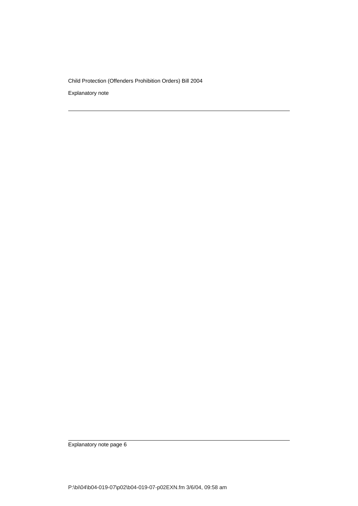Explanatory note

Explanatory note page 6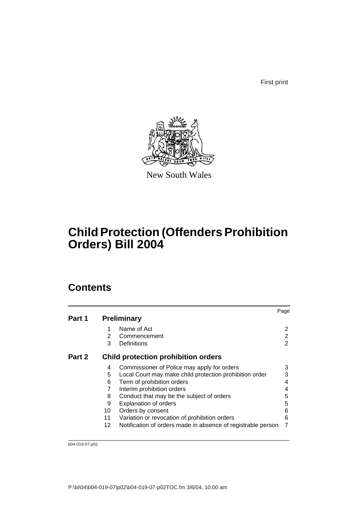First print



New South Wales

# **Child Protection (Offenders Prohibition Orders) Bill 2004**

# **Contents**

|        |    |                                                              | Page |
|--------|----|--------------------------------------------------------------|------|
| Part 1 |    | <b>Preliminary</b>                                           |      |
|        | 1  | Name of Act                                                  | 2    |
|        | 2  | Commencement                                                 | 2    |
|        | 3  | Definitions                                                  | 2    |
| Part 2 |    | <b>Child protection prohibition orders</b>                   |      |
|        | 4  | Commissioner of Police may apply for orders                  | 3    |
|        | 5  | Local Court may make child protection prohibition order      | 3    |
|        | 6  | Term of prohibition orders                                   | 4    |
|        |    | Interim prohibition orders                                   |      |
|        | 8  | Conduct that may be the subject of orders                    | 5    |
|        | 9  | <b>Explanation of orders</b>                                 | 5    |
|        | 10 | Orders by consent                                            | 6    |
|        | 11 | Variation or revocation of prohibition orders                | 6    |
|        | 12 | Notification of orders made in absence of registrable person |      |

b04-019-07.p02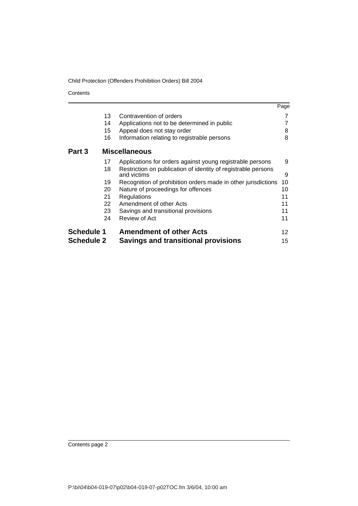**Contents** 

|                   |                                                                              | Page |
|-------------------|------------------------------------------------------------------------------|------|
| 13                | Contravention of orders                                                      |      |
| 14                | Applications not to be determined in public                                  |      |
| 15                | Appeal does not stay order                                                   | 8    |
| 16                | Information relating to registrable persons                                  | 8    |
| Part 3            | <b>Miscellaneous</b>                                                         |      |
| 17                | Applications for orders against young registrable persons                    | 9    |
| 18                | Restriction on publication of identity of registrable persons<br>and victims | 9    |
| 19                | Recognition of prohibition orders made in other jurisdictions                | 10   |
| 20                | Nature of proceedings for offences                                           | 10   |
| 21                | Regulations                                                                  | 11   |
| 22                | Amendment of other Acts                                                      | 11   |
| 23                | Savings and transitional provisions                                          | 11   |
| 24                | Review of Act                                                                | 11   |
| <b>Schedule 1</b> | <b>Amendment of other Acts</b>                                               | 12   |
| <b>Schedule 2</b> | <b>Savings and transitional provisions</b>                                   | 15   |

Contents page 2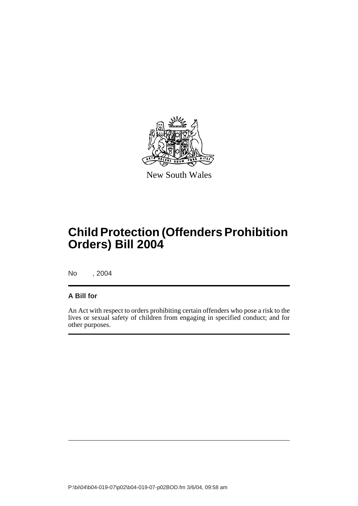

New South Wales

# **Child Protection (Offenders Prohibition Orders) Bill 2004**

No , 2004

### **A Bill for**

An Act with respect to orders prohibiting certain offenders who pose a risk to the lives or sexual safety of children from engaging in specified conduct; and for other purposes.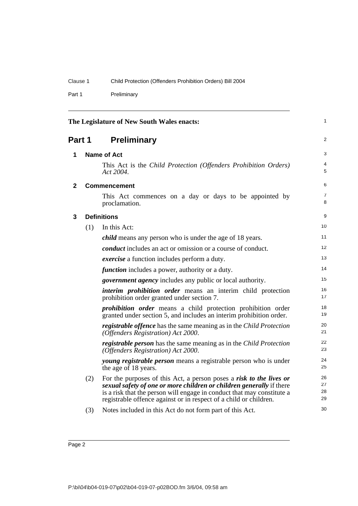Part 1 Preliminary

<span id="page-9-3"></span><span id="page-9-2"></span><span id="page-9-1"></span><span id="page-9-0"></span>

| The Legislature of New South Wales enacts:<br><b>Preliminary</b><br>Part 1 |                                                                                                 |                                                                                                                                                                                                                                                                                            | 1                    |
|----------------------------------------------------------------------------|-------------------------------------------------------------------------------------------------|--------------------------------------------------------------------------------------------------------------------------------------------------------------------------------------------------------------------------------------------------------------------------------------------|----------------------|
|                                                                            |                                                                                                 |                                                                                                                                                                                                                                                                                            | 2                    |
| 1                                                                          | <b>Name of Act</b>                                                                              |                                                                                                                                                                                                                                                                                            | 3                    |
|                                                                            |                                                                                                 | This Act is the Child Protection (Offenders Prohibition Orders)<br>Act 2004.                                                                                                                                                                                                               | 4<br>5               |
| $\mathbf{2}$                                                               |                                                                                                 | <b>Commencement</b>                                                                                                                                                                                                                                                                        | 6                    |
|                                                                            |                                                                                                 | This Act commences on a day or days to be appointed by<br>proclamation.                                                                                                                                                                                                                    | 7<br>8               |
| 3                                                                          |                                                                                                 | <b>Definitions</b>                                                                                                                                                                                                                                                                         | 9                    |
|                                                                            | (1)                                                                                             | In this Act:                                                                                                                                                                                                                                                                               | 10                   |
|                                                                            |                                                                                                 | <i>child</i> means any person who is under the age of 18 years.                                                                                                                                                                                                                            | 11                   |
|                                                                            |                                                                                                 | <i>conduct</i> includes an act or omission or a course of conduct.                                                                                                                                                                                                                         | 12                   |
|                                                                            |                                                                                                 | <i>exercise</i> a function includes perform a duty.                                                                                                                                                                                                                                        | 13                   |
|                                                                            |                                                                                                 | <i>function</i> includes a power, authority or a duty.                                                                                                                                                                                                                                     | 14                   |
|                                                                            |                                                                                                 | <i>government agency</i> includes any public or local authority.                                                                                                                                                                                                                           | 15                   |
|                                                                            |                                                                                                 | <i>interim prohibition order</i> means an interim child protection<br>prohibition order granted under section 7.                                                                                                                                                                           | 16<br>17             |
|                                                                            |                                                                                                 | <i>prohibition order</i> means a child protection prohibition order<br>granted under section 5, and includes an interim prohibition order.                                                                                                                                                 | 18<br>19             |
|                                                                            |                                                                                                 | <i>registrable offence</i> has the same meaning as in the <i>Child Protection</i><br>(Offenders Registration) Act 2000.                                                                                                                                                                    | 20<br>21             |
|                                                                            |                                                                                                 | <i>registrable person</i> has the same meaning as in the <i>Child Protection</i><br>(Offenders Registration) Act 2000.                                                                                                                                                                     | 22<br>23             |
|                                                                            | <i>young registrable person</i> means a registrable person who is under<br>the age of 18 years. |                                                                                                                                                                                                                                                                                            | 24<br>25             |
|                                                                            | (2)                                                                                             | For the purposes of this Act, a person poses a risk to the lives or<br>sexual safety of one or more children or children generally if there<br>is a risk that the person will engage in conduct that may constitute a<br>registrable offence against or in respect of a child or children. | 26<br>27<br>28<br>29 |
|                                                                            | (3)                                                                                             | Notes included in this Act do not form part of this Act.                                                                                                                                                                                                                                   | 30                   |
|                                                                            |                                                                                                 |                                                                                                                                                                                                                                                                                            |                      |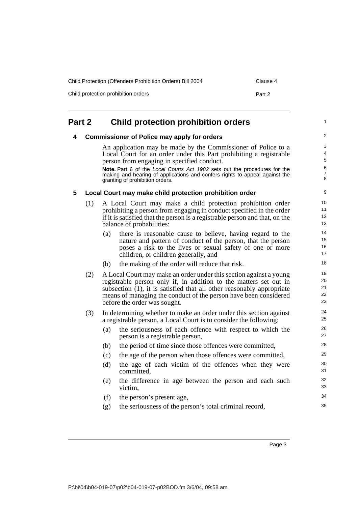Child Protection (Offenders Prohibition Orders) Bill 2004 Clause 4

Child protection prohibition orders **Part 2** 

1

## <span id="page-10-1"></span><span id="page-10-0"></span>**Part 2 Child protection prohibition orders**

#### **4 Commissioner of Police may apply for orders**

An application may be made by the Commissioner of Police to a Local Court for an order under this Part prohibiting a registrable person from engaging in specified conduct.

**Note.** Part 6 of the *Local Courts Act 1982* sets out the procedures for the making and hearing of applications and confers rights to appeal against the granting of prohibition orders.

#### <span id="page-10-2"></span>**5 Local Court may make child protection prohibition order**

- (1) A Local Court may make a child protection prohibition order prohibiting a person from engaging in conduct specified in the order if it is satisfied that the person is a registrable person and that, on the balance of probabilities:
	- (a) there is reasonable cause to believe, having regard to the nature and pattern of conduct of the person, that the person poses a risk to the lives or sexual safety of one or more children, or children generally, and
	- (b) the making of the order will reduce that risk.
- (2) A Local Court may make an order under this section against a young registrable person only if, in addition to the matters set out in subsection  $(1)$ , it is satisfied that all other reasonably appropriate means of managing the conduct of the person have been considered before the order was sought.
- (3) In determining whether to make an order under this section against a registrable person, a Local Court is to consider the following:
	- (a) the seriousness of each offence with respect to which the person is a registrable person,
	- (b) the period of time since those offences were committed,
	- (c) the age of the person when those offences were committed,
	- (d) the age of each victim of the offences when they were committed,
	- (e) the difference in age between the person and each such victim,
	- (f) the person's present age,
	- (g) the seriousness of the person's total criminal record,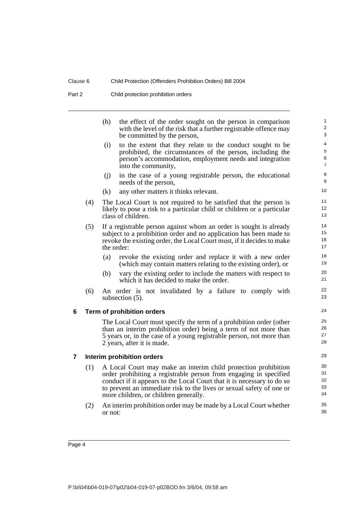Part 2 Child protection prohibition orders

<span id="page-11-1"></span><span id="page-11-0"></span>

|   |     | (h)<br>the effect of the order sought on the person in comparison<br>with the level of the risk that a further registrable offence may<br>be committed by the person,                                                                                                                                                          | 1<br>2<br>3                   |
|---|-----|--------------------------------------------------------------------------------------------------------------------------------------------------------------------------------------------------------------------------------------------------------------------------------------------------------------------------------|-------------------------------|
|   |     | to the extent that they relate to the conduct sought to be<br>(i)<br>prohibited, the circumstances of the person, including the<br>person's accommodation, employment needs and integration<br>into the community,                                                                                                             | 4<br>5<br>6<br>$\overline{7}$ |
|   |     | in the case of a young registrable person, the educational<br>(i)<br>needs of the person,                                                                                                                                                                                                                                      | 8<br>9                        |
|   |     | any other matters it thinks relevant.<br>(k)                                                                                                                                                                                                                                                                                   | 10                            |
|   | (4) | The Local Court is not required to be satisfied that the person is<br>likely to pose a risk to a particular child or children or a particular<br>class of children.                                                                                                                                                            | 11<br>12<br>13                |
|   | (5) | If a registrable person against whom an order is sought is already<br>subject to a prohibition order and no application has been made to<br>revoke the existing order, the Local Court must, if it decides to make<br>the order:                                                                                               | 14<br>15<br>16<br>17          |
|   |     | revoke the existing order and replace it with a new order<br>(a)<br>(which may contain matters relating to the existing order), or                                                                                                                                                                                             | 18<br>19                      |
|   |     | vary the existing order to include the matters with respect to<br>(b)<br>which it has decided to make the order.                                                                                                                                                                                                               | 20<br>21                      |
|   | (6) | An order is not invalidated by a failure to comply with<br>subsection $(5)$ .                                                                                                                                                                                                                                                  | 22<br>23                      |
| 6 |     | Term of prohibition orders                                                                                                                                                                                                                                                                                                     | 24                            |
|   |     | The Local Court must specify the term of a prohibition order (other<br>than an interim prohibition order) being a term of not more than<br>5 years or, in the case of a young registrable person, not more than<br>2 years, after it is made.                                                                                  | 25<br>26<br>27<br>28          |
| 7 |     | Interim prohibition orders                                                                                                                                                                                                                                                                                                     | 29                            |
|   | (1) | A Local Court may make an interim child protection prohibition<br>order prohibiting a registrable person from engaging in specified<br>conduct if it appears to the Local Court that it is necessary to do so<br>to prevent an immediate risk to the lives or sexual safety of one or<br>more children, or children generally. | 30<br>31<br>32<br>33<br>34    |
|   | (2) | An interim prohibition order may be made by a Local Court whether<br>or not:                                                                                                                                                                                                                                                   | 35<br>36                      |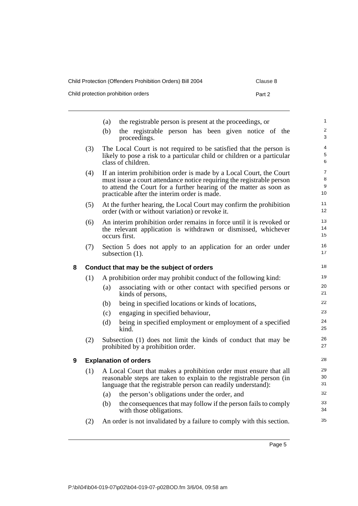| Child Protection (Offenders Prohibition Orders) Bill 2004 |  |
|-----------------------------------------------------------|--|
|-----------------------------------------------------------|--|

Child protection prohibition orders **Part 2** 

<span id="page-12-1"></span><span id="page-12-0"></span>

|   |     | the registrable person is present at the proceedings, or<br>(a)                                                                                                                                                                                                    | 1                    |
|---|-----|--------------------------------------------------------------------------------------------------------------------------------------------------------------------------------------------------------------------------------------------------------------------|----------------------|
|   |     | (b)<br>the registrable person has been given notice of the<br>proceedings.                                                                                                                                                                                         | 2<br>3               |
|   | (3) | The Local Court is not required to be satisfied that the person is<br>likely to pose a risk to a particular child or children or a particular<br>class of children.                                                                                                | 4<br>5<br>6          |
|   | (4) | If an interim prohibition order is made by a Local Court, the Court<br>must issue a court attendance notice requiring the registrable person<br>to attend the Court for a further hearing of the matter as soon as<br>practicable after the interim order is made. | 7<br>8<br>9<br>10    |
|   | (5) | At the further hearing, the Local Court may confirm the prohibition<br>order (with or without variation) or revoke it.                                                                                                                                             | 11<br>12             |
|   | (6) | An interim prohibition order remains in force until it is revoked or<br>the relevant application is withdrawn or dismissed, whichever<br>occurs first.                                                                                                             | 13<br>14<br>15       |
|   | (7) | Section 5 does not apply to an application for an order under<br>subsection $(1)$ .                                                                                                                                                                                | 16<br>17             |
| 8 |     | Conduct that may be the subject of orders                                                                                                                                                                                                                          | 18                   |
|   | (1) | A prohibition order may prohibit conduct of the following kind:<br>associating with or other contact with specified persons or<br>(a)<br>kinds of persons,                                                                                                         | 19<br>20<br>21       |
|   |     | being in specified locations or kinds of locations,<br>(b)                                                                                                                                                                                                         | 22                   |
|   |     | engaging in specified behaviour,<br>(c)                                                                                                                                                                                                                            | 23                   |
|   |     | being in specified employment or employment of a specified<br>(d)<br>kind.                                                                                                                                                                                         | 24<br>25             |
|   | (2) | Subsection (1) does not limit the kinds of conduct that may be<br>prohibited by a prohibition order.                                                                                                                                                               | 26<br>27             |
| 9 |     | <b>Explanation of orders</b>                                                                                                                                                                                                                                       | 28                   |
|   | (1) | A Local Court that makes a prohibition order must ensure that all<br>reasonable steps are taken to explain to the registrable person (in<br>language that the registrable person can readily understand):                                                          | 29<br>30<br>31<br>32 |
|   |     | the person's obligations under the order, and<br>(a)<br>the consequences that may follow if the person fails to comply<br>(b)<br>with those obligations.                                                                                                           | 33<br>34             |
|   | (2) | An order is not invalidated by a failure to comply with this section.                                                                                                                                                                                              | 35                   |
|   |     |                                                                                                                                                                                                                                                                    |                      |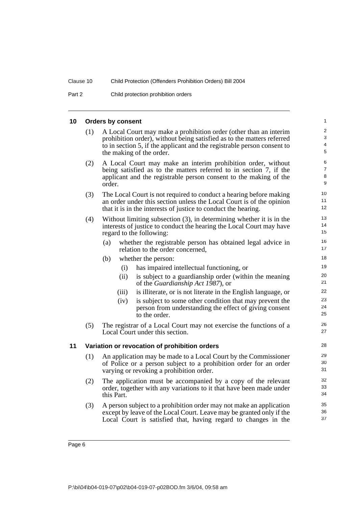Part 2 Child protection prohibition orders

#### <span id="page-13-0"></span>**10 Orders by consent**

(1) A Local Court may make a prohibition order (other than an interim prohibition order), without being satisfied as to the matters referred to in section 5, if the applicant and the registrable person consent to the making of the order.

- (2) A Local Court may make an interim prohibition order, without being satisfied as to the matters referred to in section 7, if the applicant and the registrable person consent to the making of the order.
- (3) The Local Court is not required to conduct a hearing before making an order under this section unless the Local Court is of the opinion that it is in the interests of justice to conduct the hearing.
- (4) Without limiting subsection (3), in determining whether it is in the interests of justice to conduct the hearing the Local Court may have regard to the following:
	- (a) whether the registrable person has obtained legal advice in relation to the order concerned,
	- (b) whether the person:
		- (i) has impaired intellectual functioning, or
		- (ii) is subject to a guardianship order (within the meaning of the *Guardianship Act 1987*), or
		- (iii) is illiterate, or is not literate in the English language, or
		- (iv) is subject to some other condition that may prevent the person from understanding the effect of giving consent to the order.
- (5) The registrar of a Local Court may not exercise the functions of a Local Court under this section.

#### <span id="page-13-1"></span>**11 Variation or revocation of prohibition orders**

- (1) An application may be made to a Local Court by the Commissioner of Police or a person subject to a prohibition order for an order varying or revoking a prohibition order.
- (2) The application must be accompanied by a copy of the relevant order, together with any variations to it that have been made under this Part.
- (3) A person subject to a prohibition order may not make an application except by leave of the Local Court. Leave may be granted only if the Local Court is satisfied that, having regard to changes in the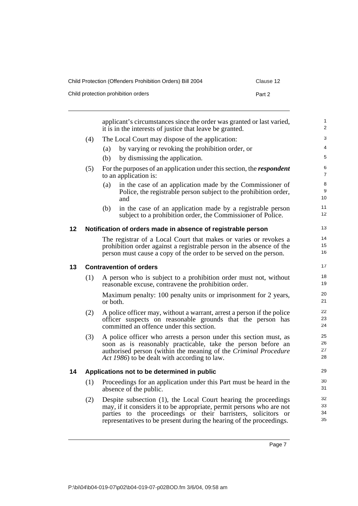| Child Protection (Offenders Prohibition Orders) Bill 2004 | Clause 12 |
|-----------------------------------------------------------|-----------|
| Child protection prohibition orders                       | Part 2    |

<span id="page-14-2"></span><span id="page-14-1"></span><span id="page-14-0"></span>

|    |     |          | applicant's circumstances since the order was granted or last varied,<br>it is in the interests of justice that leave be granted.                                                                                                                                                 | 1<br>2               |
|----|-----|----------|-----------------------------------------------------------------------------------------------------------------------------------------------------------------------------------------------------------------------------------------------------------------------------------|----------------------|
|    | (4) |          | The Local Court may dispose of the application:                                                                                                                                                                                                                                   | 3                    |
|    |     | (a)      | by varying or revoking the prohibition order, or                                                                                                                                                                                                                                  | 4                    |
|    |     | (b)      | by dismissing the application.                                                                                                                                                                                                                                                    | 5                    |
|    | (5) |          | For the purposes of an application under this section, the <i>respondent</i><br>to an application is:                                                                                                                                                                             | 6<br>7               |
|    |     | (a)      | in the case of an application made by the Commissioner of<br>Police, the registrable person subject to the prohibition order,<br>and                                                                                                                                              | 8<br>9<br>10         |
|    |     | (b)      | in the case of an application made by a registrable person<br>subject to a prohibition order, the Commissioner of Police.                                                                                                                                                         | 11<br>12             |
| 12 |     |          | Notification of orders made in absence of registrable person                                                                                                                                                                                                                      | 13                   |
|    |     |          | The registrar of a Local Court that makes or varies or revokes a<br>prohibition order against a registrable person in the absence of the<br>person must cause a copy of the order to be served on the person.                                                                     | 14<br>15<br>16       |
| 13 |     |          | <b>Contravention of orders</b>                                                                                                                                                                                                                                                    | 17                   |
|    | (1) |          | A person who is subject to a prohibition order must not, without<br>reasonable excuse, contravene the prohibition order.                                                                                                                                                          | 18<br>19             |
|    |     | or both. | Maximum penalty: 100 penalty units or imprisonment for 2 years,                                                                                                                                                                                                                   | 20<br>21             |
|    | (2) |          | A police officer may, without a warrant, arrest a person if the police<br>officer suspects on reasonable grounds that the person has<br>committed an offence under this section.                                                                                                  | 22<br>23<br>24       |
|    | (3) |          | A police officer who arrests a person under this section must, as<br>soon as is reasonably practicable, take the person before an<br>authorised person (within the meaning of the Criminal Procedure<br>Act 1986) to be dealt with according to law.                              | 25<br>26<br>27<br>28 |
| 14 |     |          | Applications not to be determined in public                                                                                                                                                                                                                                       | 29                   |
|    | (1) |          | Proceedings for an application under this Part must be heard in the<br>absence of the public.                                                                                                                                                                                     | 30<br>31             |
|    | (2) |          | Despite subsection (1), the Local Court hearing the proceedings<br>may, if it considers it to be appropriate, permit persons who are not<br>parties to the proceedings or their barristers, solicitors or<br>representatives to be present during the hearing of the proceedings. | 32<br>33<br>34<br>35 |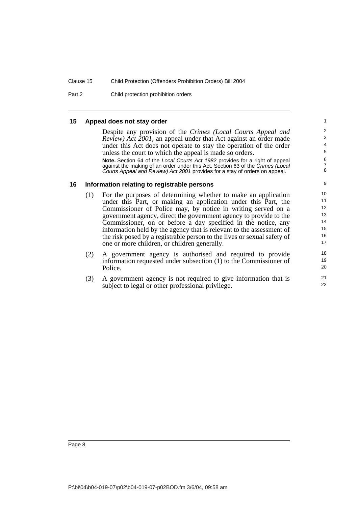Part 2 Child protection prohibition orders

#### <span id="page-15-0"></span>**15 Appeal does not stay order**

Despite any provision of the *Crimes (Local Courts Appeal and Review) Act 2001*, an appeal under that Act against an order made under this Act does not operate to stay the operation of the order unless the court to which the appeal is made so orders.

**Note.** Section 64 of the *Local Courts Act 1982* provides for a right of appeal against the making of an order under this Act. Section 63 of the *Crimes (Local Courts Appeal and Review) Act 2001* provides for a stay of orders on appeal.

#### <span id="page-15-1"></span>**16 Information relating to registrable persons**

- (1) For the purposes of determining whether to make an application under this Part, or making an application under this Part, the Commissioner of Police may, by notice in writing served on a government agency, direct the government agency to provide to the Commissioner, on or before a day specified in the notice, any information held by the agency that is relevant to the assessment of the risk posed by a registrable person to the lives or sexual safety of one or more children, or children generally.
- (2) A government agency is authorised and required to provide information requested under subsection (1) to the Commissioner of Police.
- (3) A government agency is not required to give information that is subject to legal or other professional privilege.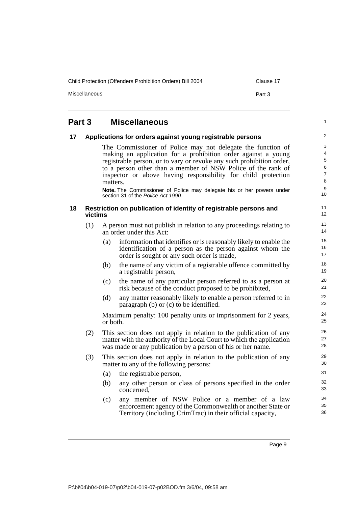Child Protection (Offenders Prohibition Orders) Bill 2004 Clause 17

Miscellaneous **Part 3** 

1

### <span id="page-16-0"></span>**Part 3 Miscellaneous**

#### <span id="page-16-1"></span>**17 Applications for orders against young registrable persons**

The Commissioner of Police may not delegate the function of making an application for a prohibition order against a young registrable person, or to vary or revoke any such prohibition order, to a person other than a member of NSW Police of the rank of inspector or above having responsibility for child protection matters.

**Note.** The Commissioner of Police may delegate his or her powers under section 31 of the *Police Act 1990*.

#### <span id="page-16-2"></span>**18 Restriction on publication of identity of registrable persons and victims**

- (1) A person must not publish in relation to any proceedings relating to an order under this Act:
	- (a) information that identifies or is reasonably likely to enable the identification of a person as the person against whom the order is sought or any such order is made,
	- (b) the name of any victim of a registrable offence committed by a registrable person,
	- (c) the name of any particular person referred to as a person at risk because of the conduct proposed to be prohibited,
	- (d) any matter reasonably likely to enable a person referred to in paragraph (b) or (c) to be identified.

Maximum penalty: 100 penalty units or imprisonment for 2 years, or both.

- (2) This section does not apply in relation to the publication of any matter with the authority of the Local Court to which the application was made or any publication by a person of his or her name.
- (3) This section does not apply in relation to the publication of any matter to any of the following persons:
	- (a) the registrable person,
	- (b) any other person or class of persons specified in the order concerned,
	- (c) any member of NSW Police or a member of a law enforcement agency of the Commonwealth or another State or Territory (including CrimTrac) in their official capacity,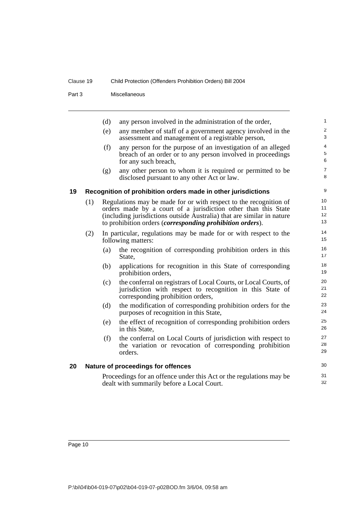Part 3 Miscellaneous

<span id="page-17-1"></span><span id="page-17-0"></span>

|    |     | (d) | any person involved in the administration of the order,                                                                                                                                                                                                                             |  |
|----|-----|-----|-------------------------------------------------------------------------------------------------------------------------------------------------------------------------------------------------------------------------------------------------------------------------------------|--|
|    |     | (e) | any member of staff of a government agency involved in the<br>assessment and management of a registrable person,                                                                                                                                                                    |  |
|    |     | (f) | any person for the purpose of an investigation of an alleged<br>breach of an order or to any person involved in proceedings<br>for any such breach,                                                                                                                                 |  |
|    |     | (g) | any other person to whom it is required or permitted to be<br>disclosed pursuant to any other Act or law.                                                                                                                                                                           |  |
| 19 |     |     | Recognition of prohibition orders made in other jurisdictions                                                                                                                                                                                                                       |  |
|    | (1) |     | Regulations may be made for or with respect to the recognition of<br>orders made by a court of a jurisdiction other than this State<br>(including jurisdictions outside Australia) that are similar in nature<br>to prohibition orders ( <i>corresponding prohibition orders</i> ). |  |
|    | (2) |     | In particular, regulations may be made for or with respect to the<br>following matters:                                                                                                                                                                                             |  |
|    |     | (a) | the recognition of corresponding prohibition orders in this<br>State,                                                                                                                                                                                                               |  |
|    |     | (b) | applications for recognition in this State of corresponding<br>prohibition orders,                                                                                                                                                                                                  |  |
|    |     | (c) | the conferral on registrars of Local Courts, or Local Courts, of<br>jurisdiction with respect to recognition in this State of<br>corresponding prohibition orders,                                                                                                                  |  |
|    |     | (d) | the modification of corresponding prohibition orders for the<br>purposes of recognition in this State,                                                                                                                                                                              |  |
|    |     | (e) | the effect of recognition of corresponding prohibition orders<br>in this State,                                                                                                                                                                                                     |  |
|    |     | (f) | the conferral on Local Courts of jurisdiction with respect to<br>the variation or revocation of corresponding prohibition<br>orders.                                                                                                                                                |  |
| 20 |     |     | Nature of proceedings for offences                                                                                                                                                                                                                                                  |  |
|    |     |     | Proceedings for an offence under this Act or the regulations may be<br>dealt with summarily before a Local Court.                                                                                                                                                                   |  |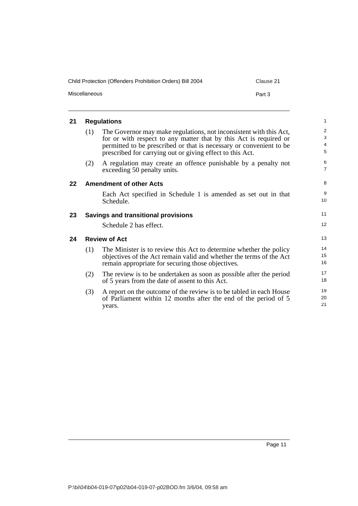| Child Protection (Offenders Prohibition Orders) Bill 2004 | Clause 21 |
|-----------------------------------------------------------|-----------|
| <b>Miscellaneous</b>                                      | Part 3    |

## <span id="page-18-0"></span>**21 Regulations**

years.

<span id="page-18-2"></span><span id="page-18-1"></span>

|    | (1) | The Governor may make regulations, not inconsistent with this Act,  | 2              |
|----|-----|---------------------------------------------------------------------|----------------|
|    |     | for or with respect to any matter that by this Act is required or   | 3              |
|    |     | permitted to be prescribed or that is necessary or convenient to be | $\overline{4}$ |
|    |     | prescribed for carrying out or giving effect to this Act.           | 5              |
|    | (2) | A regulation may create an offence punishable by a penalty not      | 6              |
|    |     | exceeding 50 penalty units.                                         | $\overline{7}$ |
| 22 |     | <b>Amendment of other Acts</b>                                      | 8              |
|    |     | Each Act specified in Schedule 1 is amended as set out in that      | 9              |
|    |     | Schedule.                                                           | 10             |
| 23 |     | <b>Savings and transitional provisions</b>                          | 11             |
|    |     | Schedule 2 has effect.                                              | 12             |
| 24 |     | <b>Review of Act</b>                                                | 13             |
|    | (1) | The Minister is to review this Act to determine whether the policy  | 14             |
|    |     | objectives of the Act remain valid and whether the terms of the Act | 15             |
|    |     | remain appropriate for securing those objectives.                   | 16             |
|    | (2) | The review is to be undertaken as soon as possible after the period | 17             |
|    |     | of 5 years from the date of assent to this Act.                     | 18             |
|    | (3) | A report on the outcome of the review is to be tabled in each House | 19             |

<span id="page-18-3"></span>of Parliament within 12 months after the end of the period of 5

1

20 21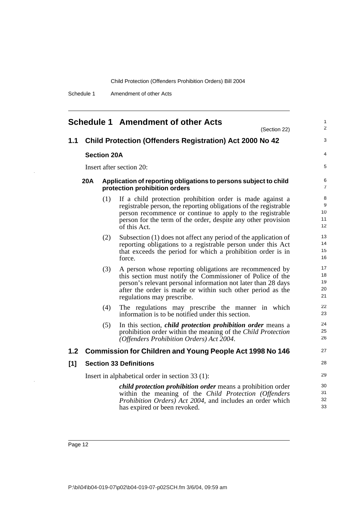<span id="page-19-0"></span>

| <b>Schedule 1 Amendment of other Acts</b><br>(Section 22) |            |                    |                                                                                                                                                                                                                                                                                    |                            |  |
|-----------------------------------------------------------|------------|--------------------|------------------------------------------------------------------------------------------------------------------------------------------------------------------------------------------------------------------------------------------------------------------------------------|----------------------------|--|
| 1.1                                                       |            |                    | <b>Child Protection (Offenders Registration) Act 2000 No 42</b>                                                                                                                                                                                                                    | 3                          |  |
|                                                           |            |                    |                                                                                                                                                                                                                                                                                    | 4                          |  |
|                                                           |            | <b>Section 20A</b> |                                                                                                                                                                                                                                                                                    |                            |  |
|                                                           |            |                    | Insert after section 20:                                                                                                                                                                                                                                                           | 5                          |  |
|                                                           | <b>20A</b> |                    | Application of reporting obligations to persons subject to child<br>protection prohibition orders                                                                                                                                                                                  | 6<br>$\overline{7}$        |  |
|                                                           |            | (1)                | If a child protection prohibition order is made against a<br>registrable person, the reporting obligations of the registrable<br>person recommence or continue to apply to the registrable<br>person for the term of the order, despite any other provision<br>of this Act.        | 8<br>9<br>10<br>11<br>12   |  |
|                                                           |            | (2)                | Subsection (1) does not affect any period of the application of<br>reporting obligations to a registrable person under this Act<br>that exceeds the period for which a prohibition order is in<br>force.                                                                           | 13<br>14<br>15<br>16       |  |
|                                                           |            | (3)                | A person whose reporting obligations are recommenced by<br>this section must notify the Commissioner of Police of the<br>person's relevant personal information not later than 28 days<br>after the order is made or within such other period as the<br>regulations may prescribe. | 17<br>18<br>19<br>20<br>21 |  |
|                                                           |            | (4)                | The regulations may prescribe the manner in which<br>information is to be notified under this section.                                                                                                                                                                             | 22<br>23                   |  |
|                                                           |            | (5)                | In this section, <i>child protection prohibition order</i> means a<br>prohibition order within the meaning of the Child Protection<br>(Offenders Prohibition Orders) Act 2004.                                                                                                     | 24<br>25<br>26             |  |
| 1.2 <sub>2</sub>                                          |            |                    | <b>Commission for Children and Young People Act 1998 No 146</b>                                                                                                                                                                                                                    | 27                         |  |
| $[1]$                                                     |            |                    | <b>Section 33 Definitions</b>                                                                                                                                                                                                                                                      | 28                         |  |
|                                                           |            |                    | Insert in alphabetical order in section 33 (1):                                                                                                                                                                                                                                    | 29                         |  |
|                                                           |            |                    | child protection prohibition order means a prohibition order<br>within the meaning of the Child Protection (Offenders<br>Prohibition Orders) Act 2004, and includes an order which<br>has expired or been revoked.                                                                 | 30<br>31<br>32<br>33       |  |

 $\ddot{\phantom{a}}$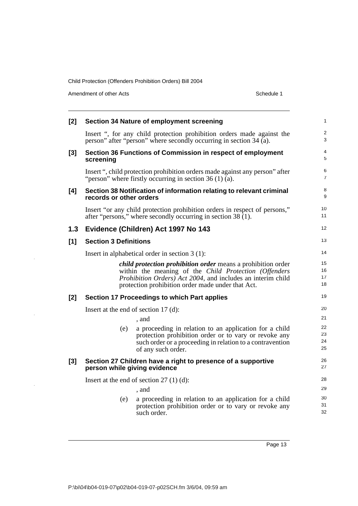Amendment of other Acts Schedule 1

| [2]   | Section 34 Nature of employment screening                                                       |                                                                                                                                                                                                                                                  | 1                            |
|-------|-------------------------------------------------------------------------------------------------|--------------------------------------------------------------------------------------------------------------------------------------------------------------------------------------------------------------------------------------------------|------------------------------|
|       |                                                                                                 | Insert ", for any child protection prohibition orders made against the<br>person" after "person" where secondly occurring in section 34 (a).                                                                                                     | $\overline{\mathbf{c}}$<br>3 |
| $[3]$ | screening                                                                                       | Section 36 Functions of Commission in respect of employment                                                                                                                                                                                      | 4<br>5                       |
|       |                                                                                                 | Insert ", child protection prohibition orders made against any person" after<br>"person" where firstly occurring in section $36(1)(a)$ .                                                                                                         | 6<br>7                       |
| [4]   | Section 38 Notification of information relating to relevant criminal<br>records or other orders |                                                                                                                                                                                                                                                  | 8<br>9                       |
|       |                                                                                                 | Insert "or any child protection prohibition orders in respect of persons,"<br>after "persons," where secondly occurring in section 38 (1).                                                                                                       | 10<br>11                     |
| 1.3   | Evidence (Children) Act 1997 No 143                                                             |                                                                                                                                                                                                                                                  | 12                           |
| [1]   | <b>Section 3 Definitions</b>                                                                    |                                                                                                                                                                                                                                                  | 13                           |
|       |                                                                                                 | Insert in alphabetical order in section $3(1)$ :                                                                                                                                                                                                 | 14                           |
|       |                                                                                                 | <i>child protection prohibition order</i> means a prohibition order<br>within the meaning of the Child Protection (Offenders<br>Prohibition Orders) Act 2004, and includes an interim child<br>protection prohibition order made under that Act. | 15<br>16<br>17<br>18         |
| [2]   | Section 17 Proceedings to which Part applies                                                    |                                                                                                                                                                                                                                                  | 19                           |
|       |                                                                                                 | Insert at the end of section $17$ (d):                                                                                                                                                                                                           |                              |
|       |                                                                                                 | , and                                                                                                                                                                                                                                            | 21                           |
|       | (e)                                                                                             | a proceeding in relation to an application for a child<br>protection prohibition order or to vary or revoke any<br>such order or a proceeding in relation to a contravention<br>of any such order.                                               | 22<br>23<br>24<br>25         |
| $[3]$ | Section 27 Children have a right to presence of a supportive<br>person while giving evidence    |                                                                                                                                                                                                                                                  | 26<br>27                     |
|       | Insert at the end of section $27(1)(d)$ :                                                       |                                                                                                                                                                                                                                                  | 28                           |
|       |                                                                                                 | , and                                                                                                                                                                                                                                            | 29                           |
|       | (e)                                                                                             | a proceeding in relation to an application for a child<br>protection prohibition order or to vary or revoke any<br>such order.                                                                                                                   | 30<br>31<br>32               |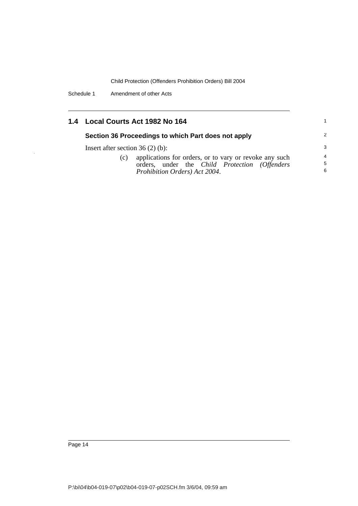Schedule 1 Amendment of other Acts

|  | 1.4 Local Courts Act 1982 No 164<br>Section 36 Proceedings to which Part does not apply<br>Insert after section $36(2)$ (b): |  |
|--|------------------------------------------------------------------------------------------------------------------------------|--|
|  |                                                                                                                              |  |
|  |                                                                                                                              |  |